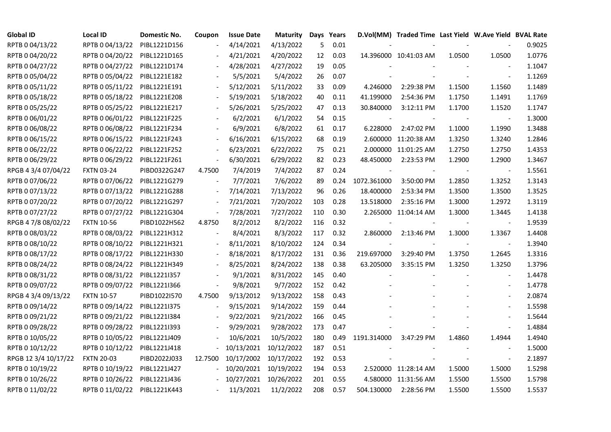| <b>Global ID</b>     | Local ID          | Domestic No. | Coupon                   | <b>Issue Date</b> | <b>Maturity</b> |     | Days Years |                          | D.Vol(MM) Traded Time Last Yield W.Ave Yield BVAL Rate |        |                          |        |
|----------------------|-------------------|--------------|--------------------------|-------------------|-----------------|-----|------------|--------------------------|--------------------------------------------------------|--------|--------------------------|--------|
| RPTB 0 04/13/22      | RPTB 0 04/13/22   | PIBL1221D156 |                          | 4/14/2021         | 4/13/2022       | 5   | 0.01       |                          |                                                        |        |                          | 0.9025 |
| RPTB 0 04/20/22      | RPTB 0 04/20/22   | PIBL1221D165 |                          | 4/21/2021         | 4/20/2022       | 12  | 0.03       |                          | 14.396000 10:41:03 AM                                  | 1.0500 | 1.0500                   | 1.0776 |
| RPTB 0 04/27/22      | RPTB 0 04/27/22   | PIBL1221D174 |                          | 4/28/2021         | 4/27/2022       | 19  | 0.05       |                          |                                                        |        |                          | 1.1047 |
| RPTB 0 05/04/22      | RPTB 0 05/04/22   | PIBL1221E182 |                          | 5/5/2021          | 5/4/2022        | 26  | 0.07       |                          |                                                        |        | $\sim$                   | 1.1269 |
| RPTB 0 05/11/22      | RPTB 0 05/11/22   | PIBL1221E191 |                          | 5/12/2021         | 5/11/2022       | 33  | 0.09       | 4.246000                 | 2:29:38 PM                                             | 1.1500 | 1.1560                   | 1.1489 |
| RPTB 0 05/18/22      | RPTB 0 05/18/22   | PIBL1221E208 |                          | 5/19/2021         | 5/18/2022       | 40  | 0.11       | 41.199000                | 2:54:36 PM                                             | 1.1750 | 1.1491                   | 1.1769 |
| RPTB 0 05/25/22      | RPTB 0 05/25/22   | PIBL1221E217 |                          | 5/26/2021         | 5/25/2022       | 47  | 0.13       | 30.840000                | 3:12:11 PM                                             | 1.1700 | 1.1520                   | 1.1747 |
| RPTB 0 06/01/22      | RPTB 0 06/01/22   | PIBL1221F225 |                          | 6/2/2021          | 6/1/2022        | 54  | 0.15       | $\overline{\phantom{a}}$ |                                                        |        | $\blacksquare$           | 1.3000 |
| RPTB 0 06/08/22      | RPTB 0 06/08/22   | PIBL1221F234 |                          | 6/9/2021          | 6/8/2022        | 61  | 0.17       | 6.228000                 | 2:47:02 PM                                             | 1.1000 | 1.1990                   | 1.3488 |
| RPTB 0 06/15/22      | RPTB 0 06/15/22   | PIBL1221F243 | $\overline{\phantom{a}}$ | 6/16/2021         | 6/15/2022       | 68  | 0.19       |                          | 2.600000 11:20:38 AM                                   | 1.3250 | 1.3240                   | 1.2846 |
| RPTB 0 06/22/22      | RPTB 0 06/22/22   | PIBL1221F252 | $\overline{\phantom{a}}$ | 6/23/2021         | 6/22/2022       | 75  | 0.21       |                          | 2.000000 11:01:25 AM                                   | 1.2750 | 1.2750                   | 1.4353 |
| RPTB 0 06/29/22      | RPTB 0 06/29/22   | PIBL1221F261 | $\Box$                   | 6/30/2021         | 6/29/2022       | 82  | 0.23       | 48.450000                | 2:23:53 PM                                             | 1.2900 | 1.2900                   | 1.3467 |
| RPGB 4 3/4 07/04/22  | <b>FXTN 03-24</b> | PIBD0322G247 | 4.7500                   | 7/4/2019          | 7/4/2022        | 87  | 0.24       |                          |                                                        |        | $\overline{\phantom{a}}$ | 1.5561 |
| RPTB 0 07/06/22      | RPTB 0 07/06/22   | PIBL1221G279 | $\overline{\phantom{a}}$ | 7/7/2021          | 7/6/2022        | 89  | 0.24       | 1072.361000              | 3:50:00 PM                                             | 1.2850 | 1.3252                   | 1.3143 |
| RPTB 0 07/13/22      | RPTB 0 07/13/22   | PIBL1221G288 |                          | 7/14/2021         | 7/13/2022       | 96  | 0.26       | 18.400000                | 2:53:34 PM                                             | 1.3500 | 1.3500                   | 1.3525 |
| RPTB 0 07/20/22      | RPTB 0 07/20/22   | PIBL1221G297 |                          | 7/21/2021         | 7/20/2022       | 103 | 0.28       | 13.518000                | 2:35:16 PM                                             | 1.3000 | 1.2972                   | 1.3119 |
| RPTB 0 07/27/22      | RPTB 0 07/27/22   | PIBL1221G304 | $\overline{\phantom{a}}$ | 7/28/2021         | 7/27/2022       | 110 | 0.30       |                          | 2.265000 11:04:14 AM                                   | 1.3000 | 1.3445                   | 1.4138 |
| RPGB 4 7/8 08/02/22  | <b>FXTN 10-56</b> | PIBD1022H562 | 4.8750                   | 8/2/2012          | 8/2/2022        | 116 | 0.32       |                          |                                                        |        |                          | 1.9539 |
| RPTB 0 08/03/22      | RPTB 0 08/03/22   | PIBL1221H312 |                          | 8/4/2021          | 8/3/2022        | 117 | 0.32       | 2.860000                 | 2:13:46 PM                                             | 1.3000 | 1.3367                   | 1.4408 |
| RPTB 0 08/10/22      | RPTB 0 08/10/22   | PIBL1221H321 | $\overline{\phantom{a}}$ | 8/11/2021         | 8/10/2022       | 124 | 0.34       |                          |                                                        |        | $\blacksquare$           | 1.3940 |
| RPTB 0 08/17/22      | RPTB 0 08/17/22   | PIBL1221H330 |                          | 8/18/2021         | 8/17/2022       | 131 | 0.36       | 219.697000               | 3:29:40 PM                                             | 1.3750 | 1.2645                   | 1.3316 |
| RPTB 0 08/24/22      | RPTB 0 08/24/22   | PIBL1221H349 |                          | 8/25/2021         | 8/24/2022       | 138 | 0.38       | 63.205000                | 3:35:15 PM                                             | 1.3250 | 1.3250                   | 1.3796 |
| RPTB 0 08/31/22      | RPTB 0 08/31/22   | PIBL1221I357 |                          | 9/1/2021          | 8/31/2022       | 145 | 0.40       |                          |                                                        |        |                          | 1.4478 |
| RPTB 0 09/07/22      | RPTB 0 09/07/22   | PIBL1221I366 | $\blacksquare$           | 9/8/2021          | 9/7/2022        | 152 | 0.42       |                          |                                                        |        |                          | 1.4778 |
| RPGB 4 3/4 09/13/22  | <b>FXTN 10-57</b> | PIBD1022I570 | 4.7500                   | 9/13/2012         | 9/13/2022       | 158 | 0.43       |                          |                                                        |        | $\overline{\phantom{a}}$ | 2.0874 |
| RPTB 0 09/14/22      | RPTB 0 09/14/22   | PIBL1221I375 | $\overline{\phantom{a}}$ | 9/15/2021         | 9/14/2022       | 159 | 0.44       |                          |                                                        |        |                          | 1.5598 |
| RPTB 0 09/21/22      | RPTB 0 09/21/22   | PIBL1221I384 |                          | 9/22/2021         | 9/21/2022       | 166 | 0.45       |                          |                                                        |        | $\overline{\phantom{a}}$ | 1.5644 |
| RPTB 0 09/28/22      | RPTB 0 09/28/22   | PIBL1221I393 |                          | 9/29/2021         | 9/28/2022       | 173 | 0.47       |                          |                                                        |        | $\blacksquare$           | 1.4884 |
| RPTB 0 10/05/22      | RPTB 0 10/05/22   | PIBL1221J409 |                          | 10/6/2021         | 10/5/2022       | 180 | 0.49       | 1191.314000              | 3:47:29 PM                                             | 1.4860 | 1.4944                   | 1.4940 |
| RPTB 0 10/12/22      | RPTB 0 10/12/22   | PIBL1221J418 |                          | 10/13/2021        | 10/12/2022      | 187 | 0.51       |                          |                                                        |        |                          | 1.5000 |
| RPGB 12 3/4 10/17/22 | <b>FXTN 20-03</b> | PIBD2022J033 | 12.7500                  | 10/17/2002        | 10/17/2022      | 192 | 0.53       |                          |                                                        |        | $\overline{\phantom{a}}$ | 2.1897 |
| RPTB 0 10/19/22      | RPTB 0 10/19/22   | PIBL1221J427 |                          | 10/20/2021        | 10/19/2022      | 194 | 0.53       |                          | 2.520000 11:28:14 AM                                   | 1.5000 | 1.5000                   | 1.5298 |
| RPTB 0 10/26/22      | RPTB 0 10/26/22   | PIBL1221J436 |                          | 10/27/2021        | 10/26/2022      | 201 | 0.55       |                          | 4.580000 11:31:56 AM                                   | 1.5500 | 1.5500                   | 1.5798 |
| RPTB 0 11/02/22      | RPTB 0 11/02/22   | PIBL1221K443 |                          | 11/3/2021         | 11/2/2022       | 208 | 0.57       | 504.130000               | 2:28:56 PM                                             | 1.5500 | 1.5500                   | 1.5537 |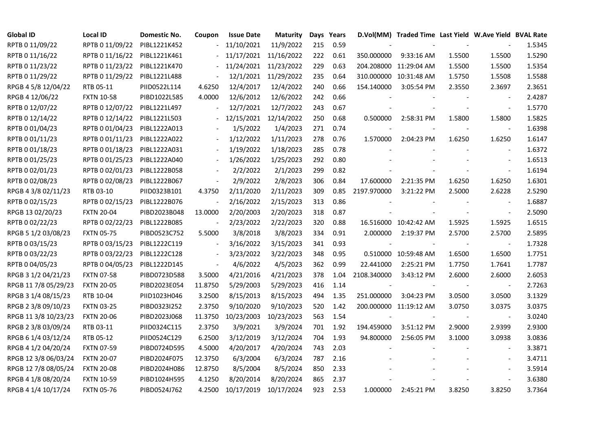| <b>Global ID</b>     | Local ID          | Domestic No. | Coupon                   | <b>Issue Date</b> | <b>Maturity</b>       |     | Days Years |                          | D.Vol(MM) Traded Time Last Yield W.Ave Yield BVAL Rate |        |                          |        |
|----------------------|-------------------|--------------|--------------------------|-------------------|-----------------------|-----|------------|--------------------------|--------------------------------------------------------|--------|--------------------------|--------|
| RPTB 0 11/09/22      | RPTB 0 11/09/22   | PIBL1221K452 |                          | 11/10/2021        | 11/9/2022             | 215 | 0.59       |                          |                                                        |        |                          | 1.5345 |
| RPTB 0 11/16/22      | RPTB 0 11/16/22   | PIBL1221K461 |                          |                   | 11/17/2021 11/16/2022 | 222 | 0.61       | 350.000000               | 9:33:16 AM                                             | 1.5500 | 1.5500                   | 1.5290 |
| RPTB 0 11/23/22      | RPTB 0 11/23/22   | PIBL1221K470 |                          |                   | 11/24/2021 11/23/2022 | 229 | 0.63       |                          | 204.208000 11:29:04 AM                                 | 1.5500 | 1.5500                   | 1.5354 |
| RPTB 0 11/29/22      | RPTB 0 11/29/22   | PIBL1221L488 | $\overline{\phantom{a}}$ |                   | 12/1/2021 11/29/2022  | 235 | 0.64       |                          | 310.000000 10:31:48 AM                                 | 1.5750 | 1.5508                   | 1.5588 |
| RPGB 4 5/8 12/04/22  | RTB 05-11         | PIID0522L114 | 4.6250                   | 12/4/2017         | 12/4/2022             | 240 | 0.66       | 154.140000               | 3:05:54 PM                                             | 2.3550 | 2.3697                   | 2.3651 |
| RPGB 4 12/06/22      | <b>FXTN 10-58</b> | PIBD1022L585 | 4.0000                   | 12/6/2012         | 12/6/2022             | 242 | 0.66       |                          |                                                        |        | $\overline{\phantom{a}}$ | 2.4287 |
| RPTB 0 12/07/22      | RPTB 0 12/07/22   | PIBL1221L497 | $\blacksquare$           | 12/7/2021         | 12/7/2022             | 243 | 0.67       |                          |                                                        |        | $\blacksquare$           | 1.5770 |
| RPTB 0 12/14/22      | RPTB 0 12/14/22   | PIBL1221L503 |                          | 12/15/2021        | 12/14/2022            | 250 | 0.68       | 0.500000                 | 2:58:31 PM                                             | 1.5800 | 1.5800                   | 1.5825 |
| RPTB 0 01/04/23      | RPTB 0 01/04/23   | PIBL1222A013 |                          | 1/5/2022          | 1/4/2023              | 271 | 0.74       |                          |                                                        |        |                          | 1.6398 |
| RPTB 0 01/11/23      | RPTB 0 01/11/23   | PIBL1222A022 | $\blacksquare$           | 1/12/2022         | 1/11/2023             | 278 | 0.76       | 1.570000                 | 2:04:23 PM                                             | 1.6250 | 1.6250                   | 1.6147 |
| RPTB 0 01/18/23      | RPTB 0 01/18/23   | PIBL1222A031 | $\blacksquare$           | 1/19/2022         | 1/18/2023             | 285 | 0.78       |                          |                                                        |        | $\blacksquare$           | 1.6372 |
| RPTB 0 01/25/23      | RPTB 0 01/25/23   | PIBL1222A040 |                          | 1/26/2022         | 1/25/2023             | 292 | 0.80       |                          |                                                        |        | $\blacksquare$           | 1.6513 |
| RPTB 0 02/01/23      | RPTB 0 02/01/23   | PIBL1222B058 |                          | 2/2/2022          | 2/1/2023              | 299 | 0.82       |                          |                                                        |        | $\blacksquare$           | 1.6194 |
| RPTB 0 02/08/23      | RPTB 0 02/08/23   | PIBL1222B067 | $\blacksquare$           | 2/9/2022          | 2/8/2023              | 306 | 0.84       | 17.600000                | 2:21:35 PM                                             | 1.6250 | 1.6250                   | 1.6301 |
| RPGB 4 3/8 02/11/23  | RTB 03-10         | PIID0323B101 | 4.3750                   | 2/11/2020         | 2/11/2023             | 309 | 0.85       | 2197.970000              | 3:21:22 PM                                             | 2.5000 | 2.6228                   | 2.5290 |
| RPTB 0 02/15/23      | RPTB 0 02/15/23   | PIBL1222B076 |                          | 2/16/2022         | 2/15/2023             | 313 | 0.86       |                          |                                                        |        |                          | 1.6887 |
| RPGB 13 02/20/23     | <b>FXTN 20-04</b> | PIBD2023B048 | 13.0000                  | 2/20/2003         | 2/20/2023             | 318 | 0.87       |                          |                                                        |        | $\overline{\phantom{a}}$ | 2.5090 |
| RPTB 0 02/22/23      | RPTB 0 02/22/23   | PIBL1222B085 | $\blacksquare$           | 2/23/2022         | 2/22/2023             | 320 | 0.88       |                          | 16.516000 10:42:42 AM                                  | 1.5925 | 1.5925                   | 1.6515 |
| RPGB 5 1/2 03/08/23  | <b>FXTN 05-75</b> | PIBD0523C752 | 5.5000                   | 3/8/2018          | 3/8/2023              | 334 | 0.91       | 2.000000                 | 2:19:37 PM                                             | 2.5700 | 2.5700                   | 2.5895 |
| RPTB 0 03/15/23      | RPTB 0 03/15/23   | PIBL1222C119 | $\blacksquare$           | 3/16/2022         | 3/15/2023             | 341 | 0.93       | $\overline{\phantom{a}}$ |                                                        |        | $\sim$                   | 1.7328 |
| RPTB 0 03/22/23      | RPTB 0 03/22/23   | PIBL1222C128 | $\blacksquare$           | 3/23/2022         | 3/22/2023             | 348 | 0.95       |                          | 0.510000 10:59:48 AM                                   | 1.6500 | 1.6500                   | 1.7751 |
| RPTB 0 04/05/23      | RPTB 0 04/05/23   | PIBL1222D145 | $\blacksquare$           | 4/6/2022          | 4/5/2023              | 362 | 0.99       | 22.441000                | 2:25:21 PM                                             | 1.7750 | 1.7641                   | 1.7787 |
| RPGB 3 1/2 04/21/23  | <b>FXTN 07-58</b> | PIBD0723D588 | 3.5000                   | 4/21/2016         | 4/21/2023             | 378 | 1.04       | 2108.340000              | 3:43:12 PM                                             | 2.6000 | 2.6000                   | 2.6053 |
| RPGB 11 7/8 05/29/23 | <b>FXTN 20-05</b> | PIBD2023E054 | 11.8750                  | 5/29/2003         | 5/29/2023             | 416 | 1.14       |                          |                                                        |        |                          | 2.7263 |
| RPGB 3 1/4 08/15/23  | RTB 10-04         | PIID1023H046 | 3.2500                   | 8/15/2013         | 8/15/2023             | 494 | 1.35       | 251.000000               | 3:04:23 PM                                             | 3.0500 | 3.0500                   | 3.1329 |
| RPGB 2 3/8 09/10/23  | <b>FXTN 03-25</b> | PIBD0323I252 | 2.3750                   | 9/10/2020         | 9/10/2023             | 520 | 1.42       |                          | 200.000000 11:19:12 AM                                 | 3.0750 | 3.0375                   | 3.0375 |
| RPGB 11 3/8 10/23/23 | <b>FXTN 20-06</b> | PIBD2023J068 | 11.3750                  | 10/23/2003        | 10/23/2023            | 563 | 1.54       |                          |                                                        |        | $\blacksquare$           | 3.0240 |
| RPGB 2 3/8 03/09/24  | RTB 03-11         | PIID0324C115 | 2.3750                   | 3/9/2021          | 3/9/2024              | 701 | 1.92       | 194.459000               | 3:51:12 PM                                             | 2.9000 | 2.9399                   | 2.9300 |
| RPGB 6 1/4 03/12/24  | RTB 05-12         | PIID0524C129 | 6.2500                   | 3/12/2019         | 3/12/2024             | 704 | 1.93       | 94.800000                | 2:56:05 PM                                             | 3.1000 | 3.0938                   | 3.0836 |
| RPGB 4 1/2 04/20/24  | <b>FXTN 07-59</b> | PIBD0724D595 | 4.5000                   | 4/20/2017         | 4/20/2024             | 743 | 2.03       |                          |                                                        |        |                          | 3.3871 |
| RPGB 12 3/8 06/03/24 | <b>FXTN 20-07</b> | PIBD2024F075 | 12.3750                  | 6/3/2004          | 6/3/2024              | 787 | 2.16       |                          |                                                        |        | $\blacksquare$           | 3.4711 |
| RPGB 12 7/8 08/05/24 | <b>FXTN 20-08</b> | PIBD2024H086 | 12.8750                  | 8/5/2004          | 8/5/2024              | 850 | 2.33       |                          |                                                        |        | $\overline{\phantom{a}}$ | 3.5914 |
| RPGB 4 1/8 08/20/24  | <b>FXTN 10-59</b> | PIBD1024H595 | 4.1250                   | 8/20/2014         | 8/20/2024             | 865 | 2.37       |                          |                                                        |        |                          | 3.6380 |
| RPGB 4 1/4 10/17/24  | <b>FXTN 05-76</b> | PIBD0524J762 | 4.2500                   | 10/17/2019        | 10/17/2024            | 923 | 2.53       | 1.000000                 | 2:45:21 PM                                             | 3.8250 | 3.8250                   | 3.7364 |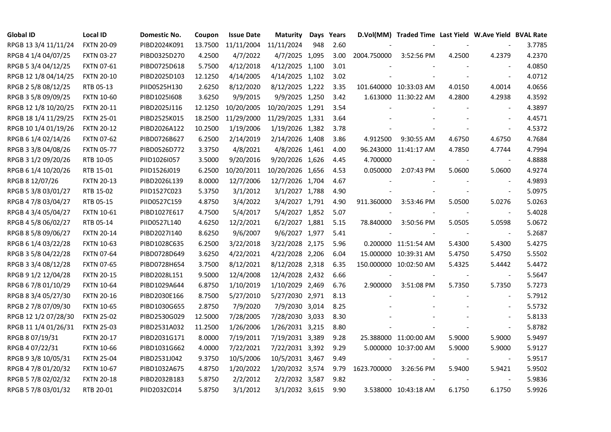| <b>Global ID</b>     | <b>Local ID</b>   | Domestic No. | Coupon  | <b>Issue Date</b> | <b>Maturity</b>  |     | Days Years |             | D.Vol(MM) Traded Time Last Yield W.Ave Yield BVAL Rate |        |                          |        |
|----------------------|-------------------|--------------|---------|-------------------|------------------|-----|------------|-------------|--------------------------------------------------------|--------|--------------------------|--------|
| RPGB 13 3/4 11/11/24 | <b>FXTN 20-09</b> | PIBD2024K091 | 13.7500 | 11/11/2004        | 11/11/2024       | 948 | 2.60       |             |                                                        |        |                          | 3.7785 |
| RPGB 4 1/4 04/07/25  | <b>FXTN 03-27</b> | PIBD0325D270 | 4.2500  | 4/7/2022          | 4/7/2025 1,095   |     | 3.00       | 2004.750000 | 3:52:56 PM                                             | 4.2500 | 4.2379                   | 4.2370 |
| RPGB 5 3/4 04/12/25  | <b>FXTN 07-61</b> | PIBD0725D618 | 5.7500  | 4/12/2018         | 4/12/2025 1,100  |     | 3.01       |             |                                                        |        |                          | 4.0850 |
| RPGB 12 1/8 04/14/25 | <b>FXTN 20-10</b> | PIBD2025D103 | 12.1250 | 4/14/2005         | 4/14/2025 1,102  |     | 3.02       |             |                                                        |        | $\sim$                   | 4.0712 |
| RPGB 2 5/8 08/12/25  | RTB 05-13         | PIID0525H130 | 2.6250  | 8/12/2020         | 8/12/2025 1,222  |     | 3.35       |             | 101.640000 10:33:03 AM                                 | 4.0150 | 4.0014                   | 4.0656 |
| RPGB 3 5/8 09/09/25  | <b>FXTN 10-60</b> | PIBD10251608 | 3.6250  | 9/9/2015          | 9/9/2025 1,250   |     | 3.42       |             | 1.613000 11:30:22 AM                                   | 4.2800 | 4.2938                   | 4.3592 |
| RPGB 12 1/8 10/20/25 | <b>FXTN 20-11</b> | PIBD2025J116 | 12.1250 | 10/20/2005        | 10/20/2025 1,291 |     | 3.54       |             |                                                        |        | $\overline{\phantom{a}}$ | 4.3897 |
| RPGB 18 1/4 11/29/25 | <b>FXTN 25-01</b> | PIBD2525K015 | 18.2500 | 11/29/2000        | 11/29/2025 1,331 |     | 3.64       |             |                                                        |        | $\sim$                   | 4.4571 |
| RPGB 10 1/4 01/19/26 | <b>FXTN 20-12</b> | PIBD2026A122 | 10.2500 | 1/19/2006         | 1/19/2026 1,382  |     | 3.78       |             |                                                        |        | $\overline{\phantom{a}}$ | 4.5372 |
| RPGB 6 1/4 02/14/26  | <b>FXTN 07-62</b> | PIBD0726B627 | 6.2500  | 2/14/2019         | 2/14/2026 1,408  |     | 3.86       | 4.912500    | 9:30:55 AM                                             | 4.6750 | 4.6750                   | 4.7684 |
| RPGB 3 3/8 04/08/26  | <b>FXTN 05-77</b> | PIBD0526D772 | 3.3750  | 4/8/2021          | 4/8/2026 1,461   |     | 4.00       |             | 96.243000 11:41:17 AM                                  | 4.7850 | 4.7744                   | 4.7994 |
| RPGB 3 1/2 09/20/26  | RTB 10-05         | PIID1026I057 | 3.5000  | 9/20/2016         | 9/20/2026 1,626  |     | 4.45       | 4.700000    |                                                        |        | $\blacksquare$           | 4.8888 |
| RPGB 6 1/4 10/20/26  | RTB 15-01         | PIID1526J019 | 6.2500  | 10/20/2011        | 10/20/2026 1,656 |     | 4.53       | 0.050000    | 2:07:43 PM                                             | 5.0600 | 5.0600                   | 4.9274 |
| RPGB 8 12/07/26      | <b>FXTN 20-13</b> | PIBD2026L139 | 8.0000  | 12/7/2006         | 12/7/2026 1,704  |     | 4.67       |             |                                                        |        | $\blacksquare$           | 4.9893 |
| RPGB 5 3/8 03/01/27  | RTB 15-02         | PIID1527C023 | 5.3750  | 3/1/2012          | 3/1/2027 1,788   |     | 4.90       |             |                                                        |        | $\blacksquare$           | 5.0975 |
| RPGB 4 7/8 03/04/27  | RTB 05-15         | PIID0527C159 | 4.8750  | 3/4/2022          | 3/4/2027 1,791   |     | 4.90       | 911.360000  | 3:53:46 PM                                             | 5.0500 | 5.0276                   | 5.0263 |
| RPGB 4 3/4 05/04/27  | <b>FXTN 10-61</b> | PIBD1027E617 | 4.7500  | 5/4/2017          | 5/4/2027 1,852   |     | 5.07       |             |                                                        |        |                          | 5.4028 |
| RPGB 4 5/8 06/02/27  | RTB 05-14         | PIID0527L140 | 4.6250  | 12/2/2021         | 6/2/2027 1,881   |     | 5.15       | 78.840000   | 3:50:56 PM                                             | 5.0505 | 5.0598                   | 5.0672 |
| RPGB 8 5/8 09/06/27  | <b>FXTN 20-14</b> | PIBD2027I140 | 8.6250  | 9/6/2007          | 9/6/2027 1,977   |     | 5.41       |             |                                                        |        | $\blacksquare$           | 5.2687 |
| RPGB 6 1/4 03/22/28  | <b>FXTN 10-63</b> | PIBD1028C635 | 6.2500  | 3/22/2018         | 3/22/2028 2,175  |     | 5.96       |             | 0.200000 11:51:54 AM                                   | 5.4300 | 5.4300                   | 5.4275 |
| RPGB 3 5/8 04/22/28  | <b>FXTN 07-64</b> | PIBD0728D649 | 3.6250  | 4/22/2021         | 4/22/2028 2,206  |     | 6.04       |             | 15.000000 10:39:31 AM                                  | 5.4750 | 5.4750                   | 5.5502 |
| RPGB 3 3/4 08/12/28  | <b>FXTN 07-65</b> | PIBD0728H654 | 3.7500  | 8/12/2021         | 8/12/2028 2,318  |     | 6.35       |             | 150.000000 10:02:50 AM                                 | 5.4325 | 5.4442                   | 5.4472 |
| RPGB 9 1/2 12/04/28  | <b>FXTN 20-15</b> | PIBD2028L151 | 9.5000  | 12/4/2008         | 12/4/2028 2,432  |     | 6.66       |             |                                                        |        |                          | 5.5647 |
| RPGB 67/8 01/10/29   | <b>FXTN 10-64</b> | PIBD1029A644 | 6.8750  | 1/10/2019         | 1/10/2029 2,469  |     | 6.76       | 2.900000    | 3:51:08 PM                                             | 5.7350 | 5.7350                   | 5.7273 |
| RPGB 8 3/4 05/27/30  | <b>FXTN 20-16</b> | PIBD2030E166 | 8.7500  | 5/27/2010         | 5/27/2030 2,971  |     | 8.13       |             |                                                        |        | $\blacksquare$           | 5.7912 |
| RPGB 2 7/8 07/09/30  | <b>FXTN 10-65</b> | PIBD1030G655 | 2.8750  | 7/9/2020          | 7/9/2030 3,014   |     | 8.25       |             |                                                        |        | $\blacksquare$           | 5.5732 |
| RPGB 12 1/2 07/28/30 | <b>FXTN 25-02</b> | PIBD2530G029 | 12.5000 | 7/28/2005         | 7/28/2030 3,033  |     | 8.30       |             |                                                        |        | $\blacksquare$           | 5.8133 |
| RPGB 11 1/4 01/26/31 | <b>FXTN 25-03</b> | PIBD2531A032 | 11.2500 | 1/26/2006         | 1/26/2031 3,215  |     | 8.80       |             |                                                        |        | $\blacksquare$           | 5.8782 |
| RPGB 8 07/19/31      | <b>FXTN 20-17</b> | PIBD2031G171 | 8.0000  | 7/19/2011         | 7/19/2031 3,389  |     | 9.28       |             | 25.388000 11:00:00 AM                                  | 5.9000 | 5.9000                   | 5.9497 |
| RPGB 4 07/22/31      | <b>FXTN 10-66</b> | PIBD1031G662 | 4.0000  | 7/22/2021         | 7/22/2031 3,392  |     | 9.29       |             | 5.000000 10:37:00 AM                                   | 5.9000 | 5.9000                   | 5.9127 |
| RPGB 9 3/8 10/05/31  | <b>FXTN 25-04</b> | PIBD2531J042 | 9.3750  | 10/5/2006         | 10/5/2031 3,467  |     | 9.49       |             |                                                        |        | $\overline{\phantom{a}}$ | 5.9517 |
| RPGB 4 7/8 01/20/32  | <b>FXTN 10-67</b> | PIBD1032A675 | 4.8750  | 1/20/2022         | 1/20/2032 3,574  |     | 9.79       | 1623.700000 | 3:26:56 PM                                             | 5.9400 | 5.9421                   | 5.9502 |
| RPGB 5 7/8 02/02/32  | <b>FXTN 20-18</b> | PIBD2032B183 | 5.8750  | 2/2/2012          | 2/2/2032 3,587   |     | 9.82       |             |                                                        |        | $\blacksquare$           | 5.9836 |
| RPGB 5 7/8 03/01/32  | RTB 20-01         | PIID2032C014 | 5.8750  | 3/1/2012          | 3/1/2032 3,615   |     | 9.90       |             | 3.538000 10:43:18 AM                                   | 6.1750 | 6.1750                   | 5.9926 |